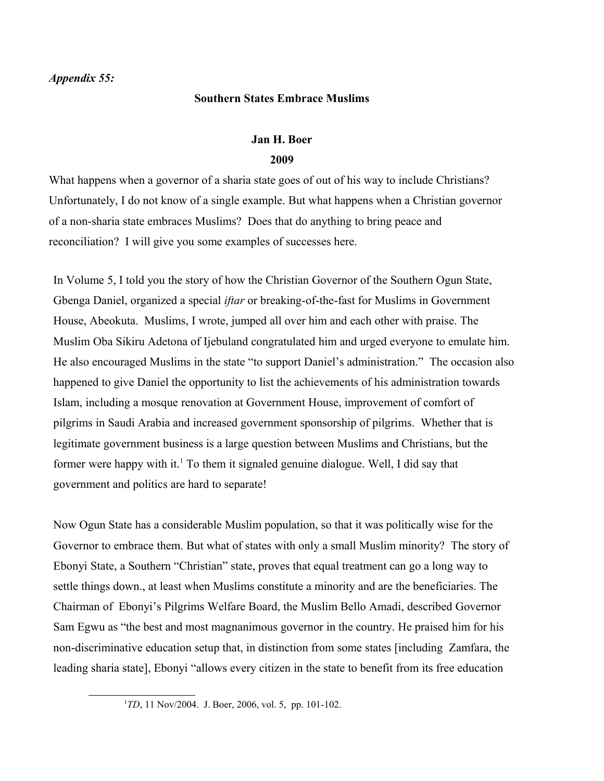## **Southern States Embrace Muslims**

## **Jan H. Boer 2009**

What happens when a governor of a sharia state goes of out of his way to include Christians? Unfortunately, I do not know of a single example. But what happens when a Christian governor of a non-sharia state embraces Muslims? Does that do anything to bring peace and reconciliation? I will give you some examples of successes here.

In Volume 5, I told you the story of how the Christian Governor of the Southern Ogun State, Gbenga Daniel, organized a special *iftar* or breaking-of-the-fast for Muslims in Government House, Abeokuta. Muslims, I wrote, jumped all over him and each other with praise. The Muslim Oba Sikiru Adetona of Ijebuland congratulated him and urged everyone to emulate him. He also encouraged Muslims in the state "to support Daniel's administration." The occasion also happened to give Daniel the opportunity to list the achievements of his administration towards Islam, including a mosque renovation at Government House, improvement of comfort of pilgrims in Saudi Arabia and increased government sponsorship of pilgrims. Whether that is legitimate government business is a large question between Muslims and Christians, but the former were happy with it.<sup>[1](#page-0-0)</sup> To them it signaled genuine dialogue. Well, I did say that government and politics are hard to separate!

Now Ogun State has a considerable Muslim population, so that it was politically wise for the Governor to embrace them. But what of states with only a small Muslim minority? The story of Ebonyi State, a Southern "Christian" state, proves that equal treatment can go a long way to settle things down., at least when Muslims constitute a minority and are the beneficiaries. The Chairman of Ebonyi's Pilgrims Welfare Board, the Muslim Bello Amadi, described Governor Sam Egwu as "the best and most magnanimous governor in the country. He praised him for his non-discriminative education setup that, in distinction from some states [including Zamfara, the leading sharia state], Ebonyi "allows every citizen in the state to benefit from its free education

<span id="page-0-0"></span><sup>&</sup>lt;sup>1</sup>*TD*, 11 Nov/2004. J. Boer, 2006, vol. 5, pp. 101-102.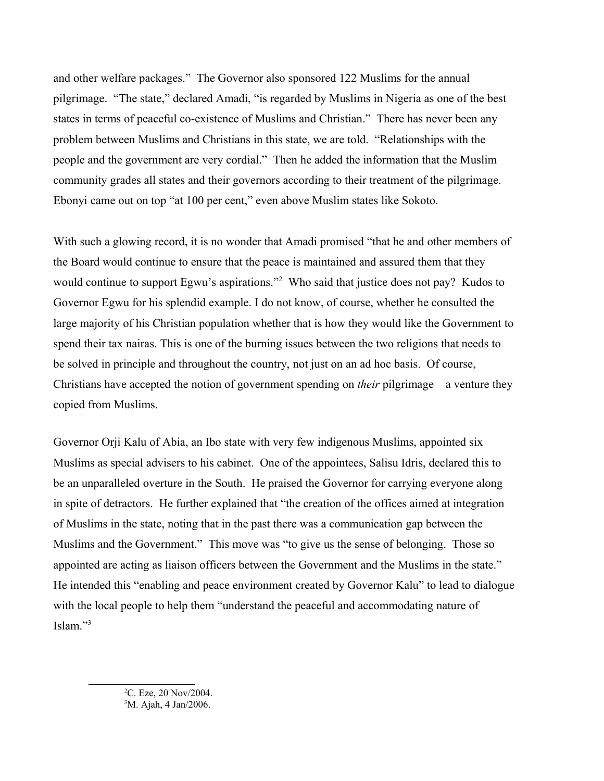and other welfare packages." The Governor also sponsored 122 Muslims for the annual pilgrimage. "The state," declared Amadi, "is regarded by Muslims in Nigeria as one of the best states in terms of peaceful co-existence of Muslims and Christian." There has never been any problem between Muslims and Christians in this state, we are told. "Relationships with the people and the government are very cordial." Then he added the information that the Muslim community grades all states and their governors according to their treatment of the pilgrimage. Ebonyi came out on top "at 100 per cent," even above Muslim states like Sokoto.

With such a glowing record, it is no wonder that Amadi promised "that he and other members of the Board would continue to ensure that the peace is maintained and assured them that they would continue to support Egwu's aspirations."<sup>[2](#page-1-0)</sup> Who said that justice does not pay? Kudos to Governor Egwu for his splendid example. I do not know, of course, whether he consulted the large majority of his Christian population whether that is how they would like the Government to spend their tax nairas. This is one of the burning issues between the two religions that needs to be solved in principle and throughout the country, not just on an ad hoc basis. Of course, Christians have accepted the notion of government spending on *their* pilgrimage—a venture they copied from Muslims.

<span id="page-1-1"></span><span id="page-1-0"></span>Governor Orji Kalu of Abia, an Ibo state with very few indigenous Muslims, appointed six Muslims as special advisers to his cabinet. One of the appointees, Salisu Idris, declared this to be an unparalleled overture in the South. He praised the Governor for carrying everyone along in spite of detractors. He further explained that "the creation of the offices aimed at integration of Muslims in the state, noting that in the past there was a communication gap between the Muslims and the Government." This move was "to give us the sense of belonging. Those so appointed are acting as liaison officers between the Government and the Muslims in the state." He intended this "enabling and peace environment created by Governor Kalu" to lead to dialogue with the local people to help them "understand the peaceful and accommodating nature of Islam."[3](#page-1-1)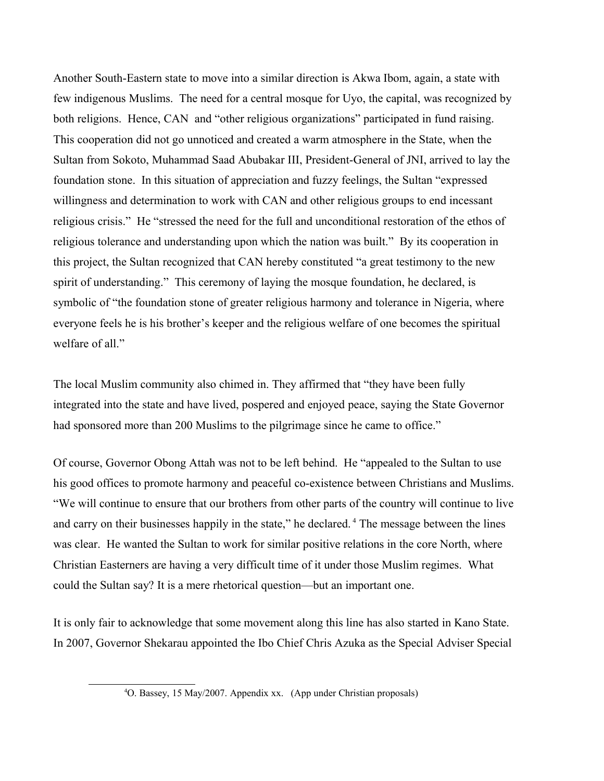Another South-Eastern state to move into a similar direction is Akwa Ibom, again, a state with few indigenous Muslims. The need for a central mosque for Uyo, the capital, was recognized by both religions. Hence, CAN and "other religious organizations" participated in fund raising. This cooperation did not go unnoticed and created a warm atmosphere in the State, when the Sultan from Sokoto, Muhammad Saad Abubakar III, President-General of JNI, arrived to lay the foundation stone. In this situation of appreciation and fuzzy feelings, the Sultan "expressed willingness and determination to work with CAN and other religious groups to end incessant religious crisis." He "stressed the need for the full and unconditional restoration of the ethos of religious tolerance and understanding upon which the nation was built." By its cooperation in this project, the Sultan recognized that CAN hereby constituted "a great testimony to the new spirit of understanding." This ceremony of laying the mosque foundation, he declared, is symbolic of "the foundation stone of greater religious harmony and tolerance in Nigeria, where everyone feels he is his brother's keeper and the religious welfare of one becomes the spiritual welfare of all."

The local Muslim community also chimed in. They affirmed that "they have been fully integrated into the state and have lived, pospered and enjoyed peace, saying the State Governor had sponsored more than 200 Muslims to the pilgrimage since he came to office."

Of course, Governor Obong Attah was not to be left behind. He "appealed to the Sultan to use his good offices to promote harmony and peaceful co-existence between Christians and Muslims. "We will continue to ensure that our brothers from other parts of the country will continue to live and carry on their businesses happily in the state," he declared.<sup>[4](#page-2-0)</sup> The message between the lines was clear. He wanted the Sultan to work for similar positive relations in the core North, where Christian Easterners are having a very difficult time of it under those Muslim regimes. What could the Sultan say? It is a mere rhetorical question—but an important one.

It is only fair to acknowledge that some movement along this line has also started in Kano State. In 2007, Governor Shekarau appointed the Ibo Chief Chris Azuka as the Special Adviser Special

<span id="page-2-0"></span><sup>4</sup>O. Bassey, 15 May/2007. Appendix xx. (App under Christian proposals)